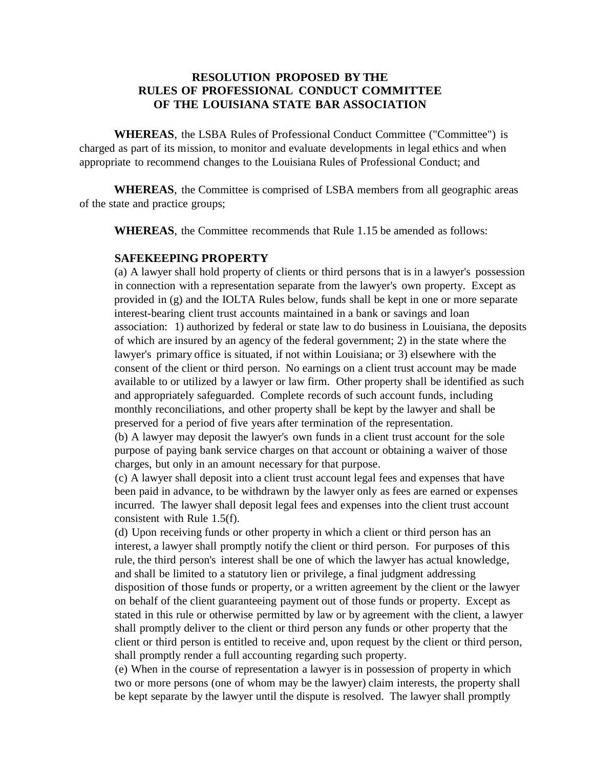## **RESOLUTION PROPOSED BY THE RULES OF PROFESSIONAL CONDUCT COMMITTEE OF THE LOUISIANA STATE BAR ASSOCIATION**

**WHEREAS**, the LSBA Rules of Professional Conduct Committee ("Committee") is charged as part of its mission, to monitor and evaluate developments in legal ethics and when appropriate to recommend changes to the Louisiana Rules of Professional Conduct; and

**WHEREAS**, the Committee is comprised of LSBA members from all geographic areas of the state and practice groups;

**WHEREAS**, the Committee recommends that Rule 1.15 be amended as follows:

## **SAFEKEEPING PROPERTY**

(a) A lawyer shall hold property of clients or third persons that is in a lawyer's possession in connection with a representation separate from the lawyer's own property. Except as provided in (g) and the IOLTA Rules below, funds shall be kept in one or more separate interest-bearing client trust accounts maintained in a bank or savings and loan association: 1) authorized by federal or state law to do business in Louisiana, the deposits of which are insured by an agency of the federal government; 2) in the state where the lawyer's primary office is situated, if not within Louisiana; or 3) elsewhere with the consent of the client or third person. No earnings on a client trust account may be made available to or utilized by a lawyer or law firm. Other property shall be identified as such and appropriately safeguarded. Complete records of such account funds, including monthly reconciliations, and other property shall be kept by the lawyer and shall be preserved for a period of five years after termination of the representation.

(b) A lawyer may deposit the lawyer's own funds in a client trust account for the sole purpose of paying bank service charges on that account or obtaining a waiver of those charges, but only in an amount necessary for that purpose.

(c) A lawyer shall deposit into a client trust account legal fees and expenses that have been paid in advance, to be withdrawn by the lawyer only as fees are earned or expenses incurred. The lawyer shall deposit legal fees and expenses into the client trust account consistent with Rule 1.5(f).

(d) Upon receiving funds or other property in which a client or third person has an interest, a lawyer shall promptly notify the client or third person. For purposes of this rule, the third person's interest shall be one of which the lawyer has actual knowledge, and shall be limited to a statutory lien or privilege, a final judgment addressing disposition of those funds or property, or a written agreement by the client or the lawyer on behalf of the client guaranteeing payment out of those funds or property. Except as stated in this rule or otherwise permitted by law or by agreement with the client, a lawyer shall promptly deliver to the client or third person any funds or other property that the client or third person is entitled to receive and, upon request by the client or third person, shall promptly render a full accounting regarding such property.

(e) When in the course of representation a lawyer is in possession of property in which two or more persons (one of whom may be the lawyer) claim interests, the property shall be kept separate by the lawyer until the dispute is resolved. The lawyer shall promptly